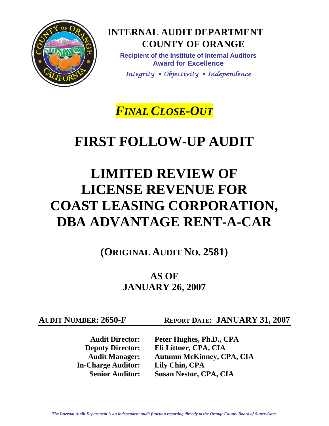

**INTERNAL AUDIT DEPARTMENT COUNTY OF ORANGE** 

**Recipient of the Institute of Internal Auditors Award for Excellence**  *Integrity Objectivity Independence*

*FINAL CLOSE-OUT*

# **FIRST FOLLOW-UP AUDIT**

# **LIMITED REVIEW OF LICENSE REVENUE FOR COAST LEASING CORPORATION, DBA ADVANTAGE RENT-A-CAR**

**(ORIGINAL AUDIT NO. 2581)** 

**AS OF JANUARY 26, 2007** 

**AUDIT NUMBER: 2650-F REPORT DATE: JANUARY 31, 2007**

 **In-Charge Auditor: Lily Chin, CPA** 

 **Audit Director: Peter Hughes, Ph.D., CPA Deputy Director: Eli Littner, CPA, CIA Audit Manager: Autumn McKinney, CPA, CIA Senior Auditor: Susan Nestor, CPA, CIA**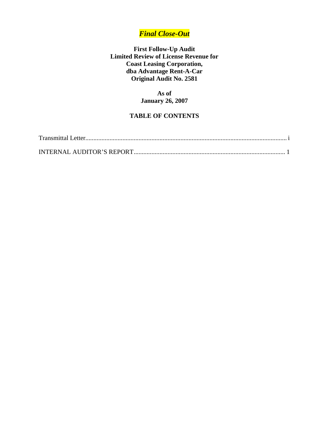# *Final Close-Out*

**First Follow-Up Audit Limited Review of License Revenue for Coast Leasing Corporation, dba Advantage Rent-A-Car Original Audit No. 2581** 

> **As of January 26, 2007**

## **TABLE OF CONTENTS**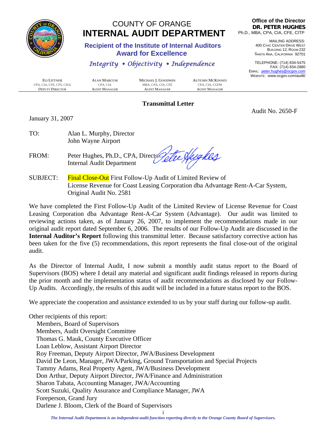<span id="page-2-0"></span>

# COUNTY OF ORANGE  **INTERNAL AUDIT DEPARTMENT**

#### **Recipient of the Institute of Internal Auditors Award for Excellence**

## *Integrity Objectivity Independence*

**Office of the Director DR. PETER HUGHES** Ph.D., MBA, CPA, CIA, CFE, CITP

> MAILING ADDRESS: 400 CIVIC CENTER DRIVE WEST BUILDING 12, ROOM 232 SANTA ANA, CALIFORNIA 92701

TELEPHONE: (714) 834-5475 FAX: (714) 834-2880 EMAIL: peter.hughes@ocgov.com WEBSITE: www.ocgov.com/audit/

| <b>ELI LITTNER</b>       | ALAN MARCUM   | MICHAEL J. GOODWIN | <b>AUTUMN MCKINNEY</b> |  |
|--------------------------|---------------|--------------------|------------------------|--|
| CPA. CIA. CFE. CFS. CISA | CPA. CIA      | MBA, CPA, CIA, CFE | CPA. CIA. CGFM         |  |
| <b>DEPUTY DIRECTOR</b>   | AUDIT MANAGER | AUDIT MANAGER      | <b>AUDIT MANAGER</b>   |  |
|                          |               |                    |                        |  |

#### **Transmittal Letter**

January 31, 2007

Audit No. 2650-F

TO: Alan L. Murphy, Director John Wayne Airport

FROM: Peter Hughes, Ph.D., CPA, Director Internal Audit Department

SUBJECT: Final Close-Out First Follow-Up Audit of Limited Review of License Revenue for Coast Leasing Corporation dba Advantage Rent-A-Car System, Original Audit No. 2581

We have completed the First Follow-Up Audit of the Limited Review of License Revenue for Coast Leasing Corporation dba Advantage Rent-A-Car System (Advantage). Our audit was limited to reviewing actions taken, as of January 26, 2007, to implement the recommendations made in our original audit report dated September 6, 2006. The results of our Follow-Up Audit are discussed in the **Internal Auditor's Report** following this transmittal letter. Because satisfactory corrective action has been taken for the five (5) recommendations, this report represents the final close-out of the original audit.

As the Director of Internal Audit, I now submit a monthly audit status report to the Board of Supervisors (BOS) where I detail any material and significant audit findings released in reports during the prior month and the implementation status of audit recommendations as disclosed by our Follow-Up Audits. Accordingly, the results of this audit will be included in a future status report to the BOS.

We appreciate the cooperation and assistance extended to us by your staff during our follow-up audit.

Other recipients of this report: Members, Board of Supervisors Members, Audit Oversight Committee Thomas G. Mauk, County Executive Officer Loan Leblow, Assistant Airport Director Roy Freeman, Deputy Airport Director, JWA/Business Development David De Leon, Manager, JWA/Parking, Ground Transportation and Special Projects Tammy Adams, Real Property Agent, JWA/Business Development Don Arthur, Deputy Airport Director, JWA/Finance and Administration Sharon Tabata, Accounting Manager, JWA/Accounting Scott Suzuki, Quality Assurance and Compliance Manager, JWA Foreperson, Grand Jury Darlene J. Bloom, Clerk of the Board of Supervisors

i